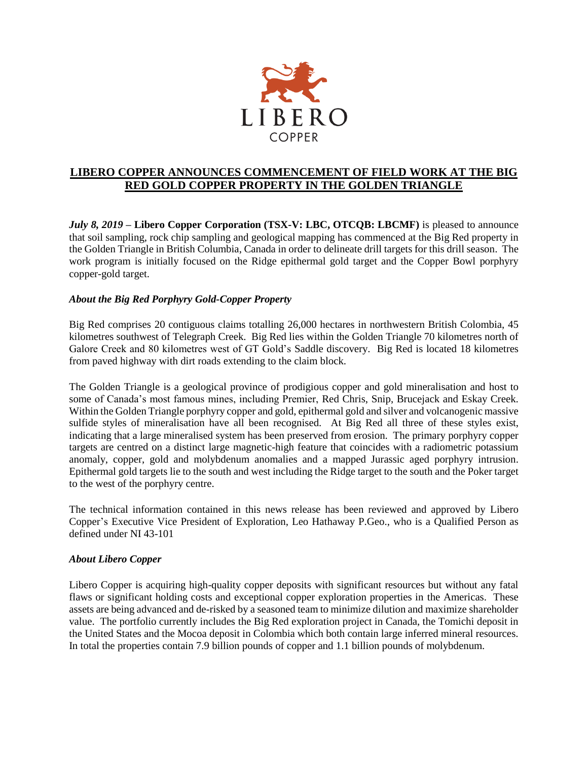

## **LIBERO COPPER ANNOUNCES COMMENCEMENT OF FIELD WORK AT THE BIG RED GOLD COPPER PROPERTY IN THE GOLDEN TRIANGLE**

*July 8, 2019* **– Libero Copper Corporation (TSX-V: LBC, OTCQB: LBCMF)** is pleased to announce that soil sampling, rock chip sampling and geological mapping has commenced at the Big Red property in the Golden Triangle in British Columbia, Canada in order to delineate drill targets for this drill season. The work program is initially focused on the Ridge epithermal gold target and the Copper Bowl porphyry copper-gold target.

## *About the Big Red Porphyry Gold-Copper Property*

Big Red comprises 20 contiguous claims totalling 26,000 hectares in northwestern British Colombia, 45 kilometres southwest of Telegraph Creek. Big Red lies within the Golden Triangle 70 kilometres north of Galore Creek and 80 kilometres west of GT Gold's Saddle discovery. Big Red is located 18 kilometres from paved highway with dirt roads extending to the claim block.

The Golden Triangle is a geological province of prodigious copper and gold mineralisation and host to some of Canada's most famous mines, including Premier, Red Chris, Snip, Brucejack and Eskay Creek. Within the Golden Triangle porphyry copper and gold, epithermal gold and silver and volcanogenic massive sulfide styles of mineralisation have all been recognised. At Big Red all three of these styles exist, indicating that a large mineralised system has been preserved from erosion. The primary porphyry copper targets are centred on a distinct large magnetic-high feature that coincides with a radiometric potassium anomaly, copper, gold and molybdenum anomalies and a mapped Jurassic aged porphyry intrusion. Epithermal gold targets lie to the south and west including the Ridge target to the south and the Poker target to the west of the porphyry centre.

The technical information contained in this news release has been reviewed and approved by Libero Copper's Executive Vice President of Exploration, Leo Hathaway P.Geo., who is a Qualified Person as defined under NI 43-101

## *About Libero Copper*

Libero Copper is acquiring high-quality copper deposits with significant resources but without any fatal flaws or significant holding costs and exceptional copper exploration properties in the Americas. These assets are being advanced and de-risked by a seasoned team to minimize dilution and maximize shareholder value. The portfolio currently includes the Big Red exploration project in Canada, the Tomichi deposit in the United States and the Mocoa deposit in Colombia which both contain large inferred mineral resources. In total the properties contain 7.9 billion pounds of copper and 1.1 billion pounds of molybdenum.